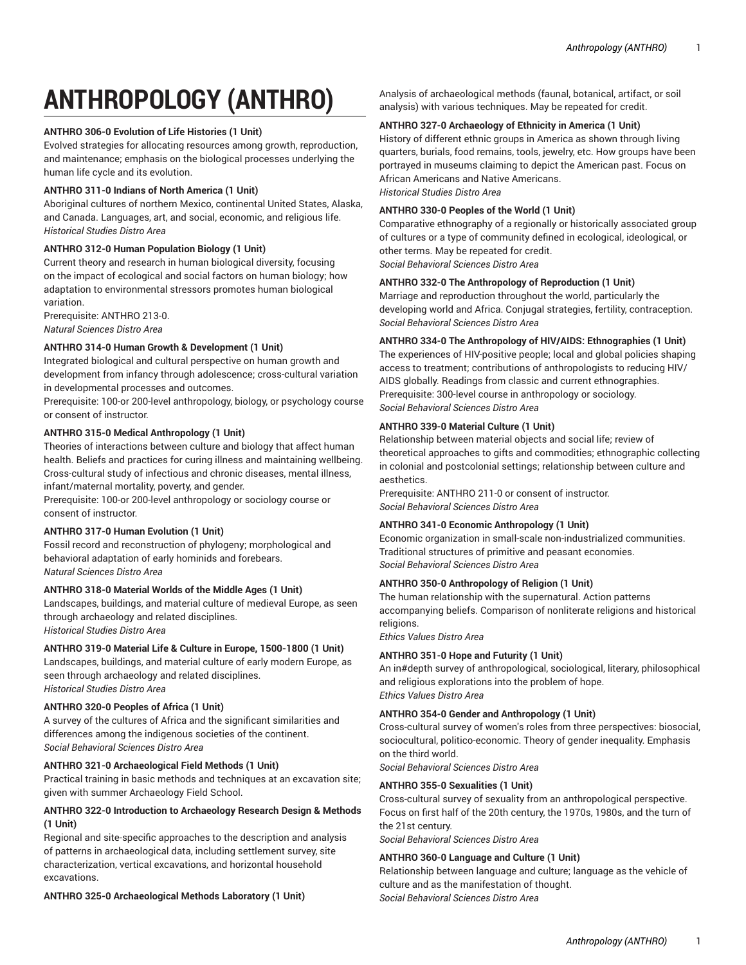# **ANTHROPOLOGY (ANTHRO)**

## **ANTHRO 306-0 Evolution of Life Histories (1 Unit)**

Evolved strategies for allocating resources among growth, reproduction, and maintenance; emphasis on the biological processes underlying the human life cycle and its evolution.

## **ANTHRO 311-0 Indians of North America (1 Unit)**

Aboriginal cultures of northern Mexico, continental United States, Alaska, and Canada. Languages, art, and social, economic, and religious life. *Historical Studies Distro Area*

# **ANTHRO 312-0 Human Population Biology (1 Unit)**

Current theory and research in human biological diversity, focusing on the impact of ecological and social factors on human biology; how adaptation to environmental stressors promotes human biological variation.

Prerequisite: ANTHRO 213-0. *Natural Sciences Distro Area*

## **ANTHRO 314-0 Human Growth & Development (1 Unit)**

Integrated biological and cultural perspective on human growth and development from infancy through adolescence; cross-cultural variation in developmental processes and outcomes.

Prerequisite: 100-or 200-level anthropology, biology, or psychology course or consent of instructor.

## **ANTHRO 315-0 Medical Anthropology (1 Unit)**

Theories of interactions between culture and biology that affect human health. Beliefs and practices for curing illness and maintaining wellbeing. Cross-cultural study of infectious and chronic diseases, mental illness, infant/maternal mortality, poverty, and gender.

Prerequisite: 100-or 200-level anthropology or sociology course or consent of instructor.

## **ANTHRO 317-0 Human Evolution (1 Unit)**

Fossil record and reconstruction of phylogeny; morphological and behavioral adaptation of early hominids and forebears. *Natural Sciences Distro Area*

## **ANTHRO 318-0 Material Worlds of the Middle Ages (1 Unit)**

Landscapes, buildings, and material culture of medieval Europe, as seen through archaeology and related disciplines. *Historical Studies Distro Area*

## **ANTHRO 319-0 Material Life & Culture in Europe, 1500-1800 (1 Unit)**

Landscapes, buildings, and material culture of early modern Europe, as seen through archaeology and related disciplines. *Historical Studies Distro Area*

## **ANTHRO 320-0 Peoples of Africa (1 Unit)**

A survey of the cultures of Africa and the significant similarities and differences among the indigenous societies of the continent. *Social Behavioral Sciences Distro Area*

## **ANTHRO 321-0 Archaeological Field Methods (1 Unit)**

Practical training in basic methods and techniques at an excavation site; given with summer Archaeology Field School.

## **ANTHRO 322-0 Introduction to Archaeology Research Design & Methods (1 Unit)**

Regional and site-specific approaches to the description and analysis of patterns in archaeological data, including settlement survey, site characterization, vertical excavations, and horizontal household excavations.

## **ANTHRO 325-0 Archaeological Methods Laboratory (1 Unit)**

Analysis of archaeological methods (faunal, botanical, artifact, or soil analysis) with various techniques. May be repeated for credit.

## **ANTHRO 327-0 Archaeology of Ethnicity in America (1 Unit)**

History of different ethnic groups in America as shown through living quarters, burials, food remains, tools, jewelry, etc. How groups have been portrayed in museums claiming to depict the American past. Focus on African Americans and Native Americans. *Historical Studies Distro Area*

## **ANTHRO 330-0 Peoples of the World (1 Unit)**

Comparative ethnography of a regionally or historically associated group of cultures or a type of community defined in ecological, ideological, or other terms. May be repeated for credit. *Social Behavioral Sciences Distro Area*

#### **ANTHRO 332-0 The Anthropology of Reproduction (1 Unit)**

Marriage and reproduction throughout the world, particularly the developing world and Africa. Conjugal strategies, fertility, contraception. *Social Behavioral Sciences Distro Area*

## **ANTHRO 334-0 The Anthropology of HIV/AIDS: Ethnographies (1 Unit)**

The experiences of HIV-positive people; local and global policies shaping access to treatment; contributions of anthropologists to reducing HIV/ AIDS globally. Readings from classic and current ethnographies. Prerequisite: 300-level course in anthropology or sociology. *Social Behavioral Sciences Distro Area*

## **ANTHRO 339-0 Material Culture (1 Unit)**

Relationship between material objects and social life; review of theoretical approaches to gifts and commodities; ethnographic collecting in colonial and postcolonial settings; relationship between culture and aesthetics.

Prerequisite: ANTHRO 211-0 or consent of instructor. *Social Behavioral Sciences Distro Area*

## **ANTHRO 341-0 Economic Anthropology (1 Unit)**

Economic organization in small-scale non-industrialized communities. Traditional structures of primitive and peasant economies. *Social Behavioral Sciences Distro Area*

# **ANTHRO 350-0 Anthropology of Religion (1 Unit)**

The human relationship with the supernatural. Action patterns accompanying beliefs. Comparison of nonliterate religions and historical religions.

*Ethics Values Distro Area*

#### **ANTHRO 351-0 Hope and Futurity (1 Unit)**

An in#depth survey of anthropological, sociological, literary, philosophical and religious explorations into the problem of hope. *Ethics Values Distro Area*

#### **ANTHRO 354-0 Gender and Anthropology (1 Unit)**

Cross-cultural survey of women's roles from three perspectives: biosocial, sociocultural, politico-economic. Theory of gender inequality. Emphasis on the third world.

*Social Behavioral Sciences Distro Area*

#### **ANTHRO 355-0 Sexualities (1 Unit)**

Cross-cultural survey of sexuality from an anthropological perspective. Focus on first half of the 20th century, the 1970s, 1980s, and the turn of the 21st century.

*Social Behavioral Sciences Distro Area*

#### **ANTHRO 360-0 Language and Culture (1 Unit)**

Relationship between language and culture; language as the vehicle of culture and as the manifestation of thought. *Social Behavioral Sciences Distro Area*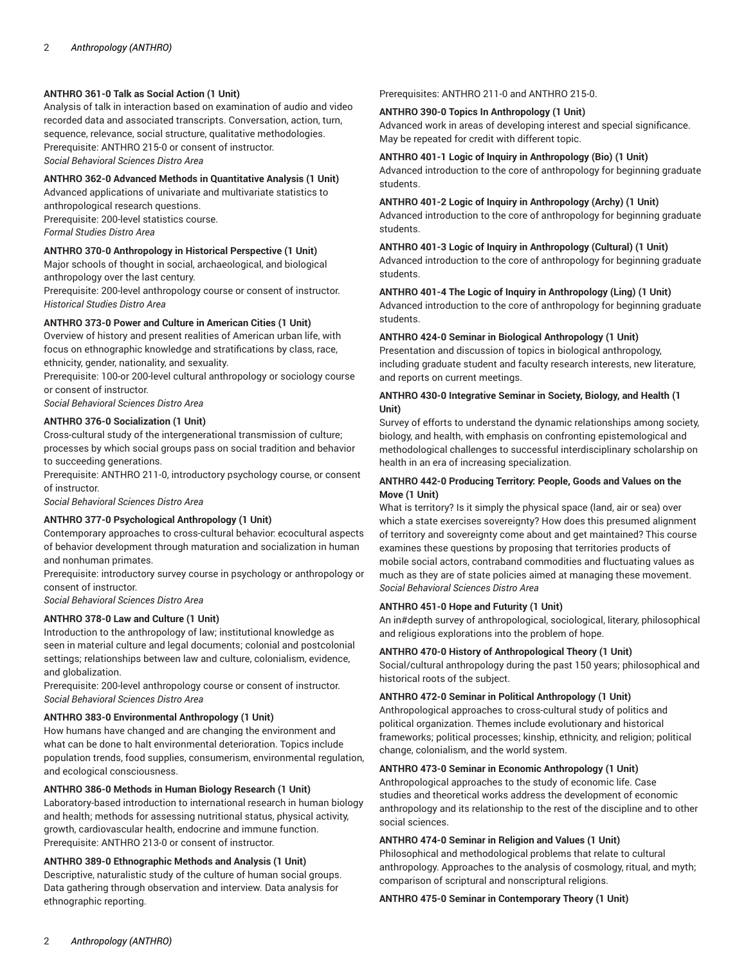## **ANTHRO 361-0 Talk as Social Action (1 Unit)**

Analysis of talk in interaction based on examination of audio and video recorded data and associated transcripts. Conversation, action, turn, sequence, relevance, social structure, qualitative methodologies. Prerequisite: ANTHRO 215-0 or consent of instructor. *Social Behavioral Sciences Distro Area*

## **ANTHRO 362-0 Advanced Methods in Quantitative Analysis (1 Unit)**

Advanced applications of univariate and multivariate statistics to anthropological research questions.

Prerequisite: 200-level statistics course. *Formal Studies Distro Area*

#### **ANTHRO 370-0 Anthropology in Historical Perspective (1 Unit)**

Major schools of thought in social, archaeological, and biological anthropology over the last century.

Prerequisite: 200-level anthropology course or consent of instructor. *Historical Studies Distro Area*

# **ANTHRO 373-0 Power and Culture in American Cities (1 Unit)**

Overview of history and present realities of American urban life, with focus on ethnographic knowledge and stratifications by class, race, ethnicity, gender, nationality, and sexuality.

Prerequisite: 100-or 200-level cultural anthropology or sociology course or consent of instructor.

*Social Behavioral Sciences Distro Area*

## **ANTHRO 376-0 Socialization (1 Unit)**

Cross-cultural study of the intergenerational transmission of culture; processes by which social groups pass on social tradition and behavior to succeeding generations.

Prerequisite: ANTHRO 211-0, introductory psychology course, or consent of instructor.

*Social Behavioral Sciences Distro Area*

## **ANTHRO 377-0 Psychological Anthropology (1 Unit)**

Contemporary approaches to cross-cultural behavior: ecocultural aspects of behavior development through maturation and socialization in human and nonhuman primates.

Prerequisite: introductory survey course in psychology or anthropology or consent of instructor.

*Social Behavioral Sciences Distro Area*

#### **ANTHRO 378-0 Law and Culture (1 Unit)**

Introduction to the anthropology of law; institutional knowledge as seen in material culture and legal documents; colonial and postcolonial settings; relationships between law and culture, colonialism, evidence, and globalization.

Prerequisite: 200-level anthropology course or consent of instructor. *Social Behavioral Sciences Distro Area*

#### **ANTHRO 383-0 Environmental Anthropology (1 Unit)**

How humans have changed and are changing the environment and what can be done to halt environmental deterioration. Topics include population trends, food supplies, consumerism, environmental regulation, and ecological consciousness.

## **ANTHRO 386-0 Methods in Human Biology Research (1 Unit)**

Laboratory-based introduction to international research in human biology and health; methods for assessing nutritional status, physical activity, growth, cardiovascular health, endocrine and immune function. Prerequisite: ANTHRO 213-0 or consent of instructor.

#### **ANTHRO 389-0 Ethnographic Methods and Analysis (1 Unit)**

Descriptive, naturalistic study of the culture of human social groups. Data gathering through observation and interview. Data analysis for ethnographic reporting.

Prerequisites: ANTHRO 211-0 and ANTHRO 215-0.

## **ANTHRO 390-0 Topics In Anthropology (1 Unit)**

Advanced work in areas of developing interest and special significance. May be repeated for credit with different topic.

## **ANTHRO 401-1 Logic of Inquiry in Anthropology (Bio) (1 Unit)**

Advanced introduction to the core of anthropology for beginning graduate students.

## **ANTHRO 401-2 Logic of Inquiry in Anthropology (Archy) (1 Unit)**

Advanced introduction to the core of anthropology for beginning graduate students.

## **ANTHRO 401-3 Logic of Inquiry in Anthropology (Cultural) (1 Unit)**

Advanced introduction to the core of anthropology for beginning graduate students.

## **ANTHRO 401-4 The Logic of Inquiry in Anthropology (Ling) (1 Unit)**

Advanced introduction to the core of anthropology for beginning graduate students.

## **ANTHRO 424-0 Seminar in Biological Anthropology (1 Unit)**

Presentation and discussion of topics in biological anthropology, including graduate student and faculty research interests, new literature, and reports on current meetings.

## **ANTHRO 430-0 Integrative Seminar in Society, Biology, and Health (1 Unit)**

Survey of efforts to understand the dynamic relationships among society, biology, and health, with emphasis on confronting epistemological and methodological challenges to successful interdisciplinary scholarship on health in an era of increasing specialization.

## **ANTHRO 442-0 Producing Territory: People, Goods and Values on the Move (1 Unit)**

What is territory? Is it simply the physical space (land, air or sea) over which a state exercises sovereignty? How does this presumed alignment of territory and sovereignty come about and get maintained? This course examines these questions by proposing that territories products of mobile social actors, contraband commodities and fluctuating values as much as they are of state policies aimed at managing these movement. *Social Behavioral Sciences Distro Area*

#### **ANTHRO 451-0 Hope and Futurity (1 Unit)**

An in#depth survey of anthropological, sociological, literary, philosophical and religious explorations into the problem of hope.

#### **ANTHRO 470-0 History of Anthropological Theory (1 Unit)**

Social/cultural anthropology during the past 150 years; philosophical and historical roots of the subject.

#### **ANTHRO 472-0 Seminar in Political Anthropology (1 Unit)**

Anthropological approaches to cross-cultural study of politics and political organization. Themes include evolutionary and historical frameworks; political processes; kinship, ethnicity, and religion; political change, colonialism, and the world system.

#### **ANTHRO 473-0 Seminar in Economic Anthropology (1 Unit)**

Anthropological approaches to the study of economic life. Case studies and theoretical works address the development of economic anthropology and its relationship to the rest of the discipline and to other social sciences.

## **ANTHRO 474-0 Seminar in Religion and Values (1 Unit)**

Philosophical and methodological problems that relate to cultural anthropology. Approaches to the analysis of cosmology, ritual, and myth; comparison of scriptural and nonscriptural religions.

#### **ANTHRO 475-0 Seminar in Contemporary Theory (1 Unit)**